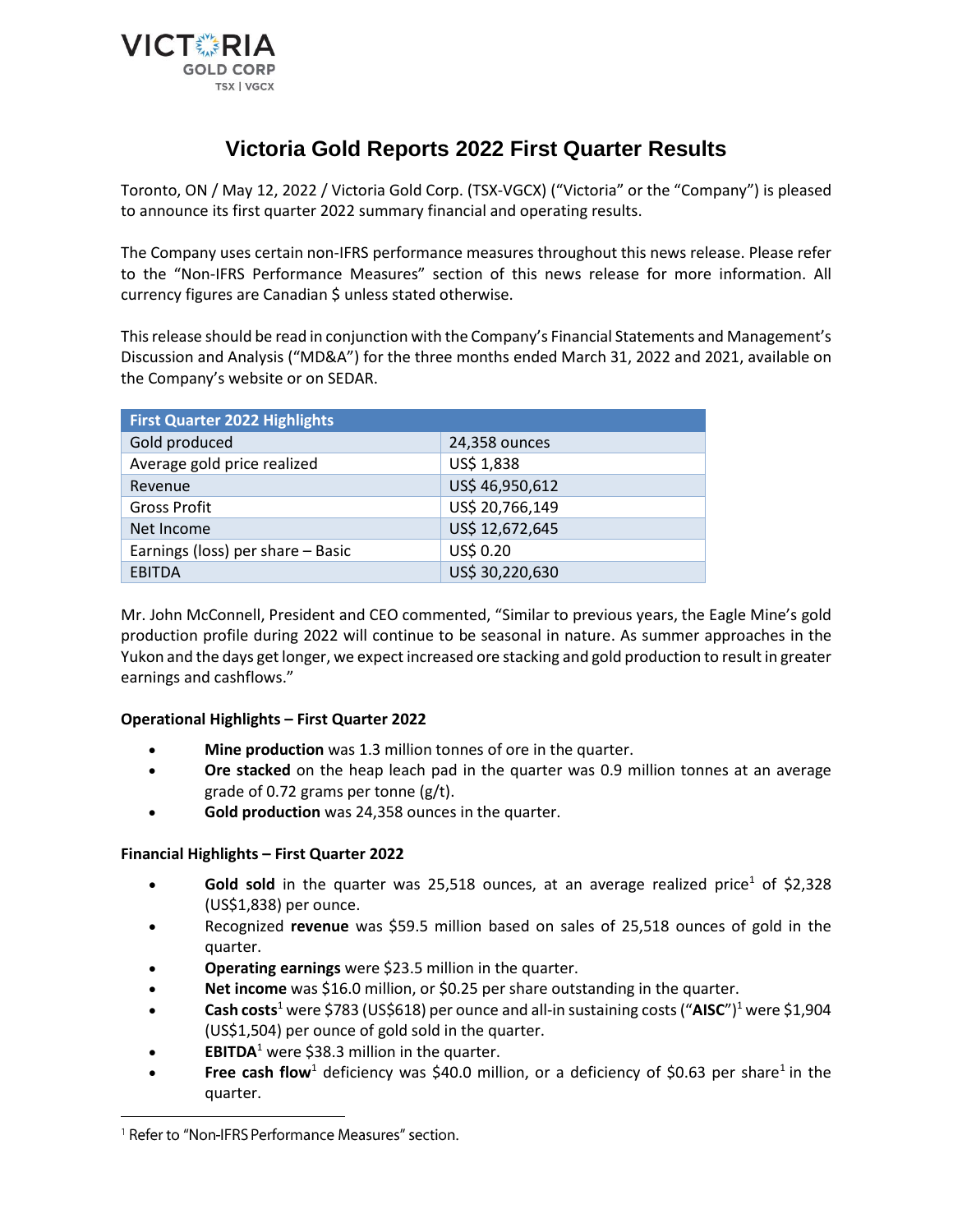

# **Victoria Gold Reports 2022 First Quarter Results**

Toronto, ON / May 12, 2022 / Victoria Gold Corp. (TSX-VGCX) ("Victoria" or the "Company") is pleased to announce its first quarter 2022 summary financial and operating results.

The Company uses certain non-IFRS performance measures throughout this news release. Please refer to the "Non-IFRS Performance Measures" section of this news release for more information. All currency figures are Canadian \$ unless stated otherwise.

This release should be read in conjunction with the Company's Financial Statements and Management's Discussion and Analysis ("MD&A") for the three months ended March 31, 2022 and 2021, available on the Company's website or on SEDAR.

| <b>First Quarter 2022 Highlights</b> |                 |  |  |
|--------------------------------------|-----------------|--|--|
| Gold produced                        | 24,358 ounces   |  |  |
| Average gold price realized          | US\$ 1,838      |  |  |
| Revenue                              | US\$ 46,950,612 |  |  |
| <b>Gross Profit</b>                  | US\$ 20,766,149 |  |  |
| Net Income                           | US\$ 12,672,645 |  |  |
| Earnings (loss) per share - Basic    | US\$ 0.20       |  |  |
| <b>EBITDA</b>                        | US\$ 30,220,630 |  |  |

Mr. John McConnell, President and CEO commented, "Similar to previous years, the Eagle Mine's gold production profile during 2022 will continue to be seasonal in nature. As summer approaches in the Yukon and the days get longer, we expect increased ore stacking and gold production to result in greater earnings and cashflows."

## **Operational Highlights – First Quarter 2022**

- **Mine production** was 1.3 million tonnes of ore in the quarter.
- **Ore stacked** on the heap leach pad in the quarter was 0.9 million tonnes at an average grade of 0.72 grams per tonne (g/t).
- **Gold production** was 24,358 ounces in the quarter.

## **Financial Highlights – First Quarter 2022**

- **Gold sold** in the quarter was 25,518 ounces, at an average realized price<sup>1</sup> of \$2,328 (US\$1,838) per ounce.
- Recognized **revenue** was \$59.5 million based on sales of 25,518 ounces of gold in the quarter.
- **Operating earnings** were \$23.5 million in the quarter.
- **Net income** was \$16.0 million, or \$0.25 per share outstanding in the quarter.
- **Cash costs**<sup>1</sup> were \$783 (US\$618) per ounce and all-in sustaining costs ("**AISC**")<sup>1</sup> were \$1,904 (US\$1,504) per ounce of gold sold in the quarter.
- **EBITDA**<sup>1</sup> were \$38.3 million in the quarter.
- **Free cash flow**<sup>1</sup> deficiency was \$40.0 million, or a deficiency of \$0.63 per share<sup>1</sup> in the quarter.

<sup>&</sup>lt;sup>1</sup> Refer to "Non-IFRS Performance Measures" section.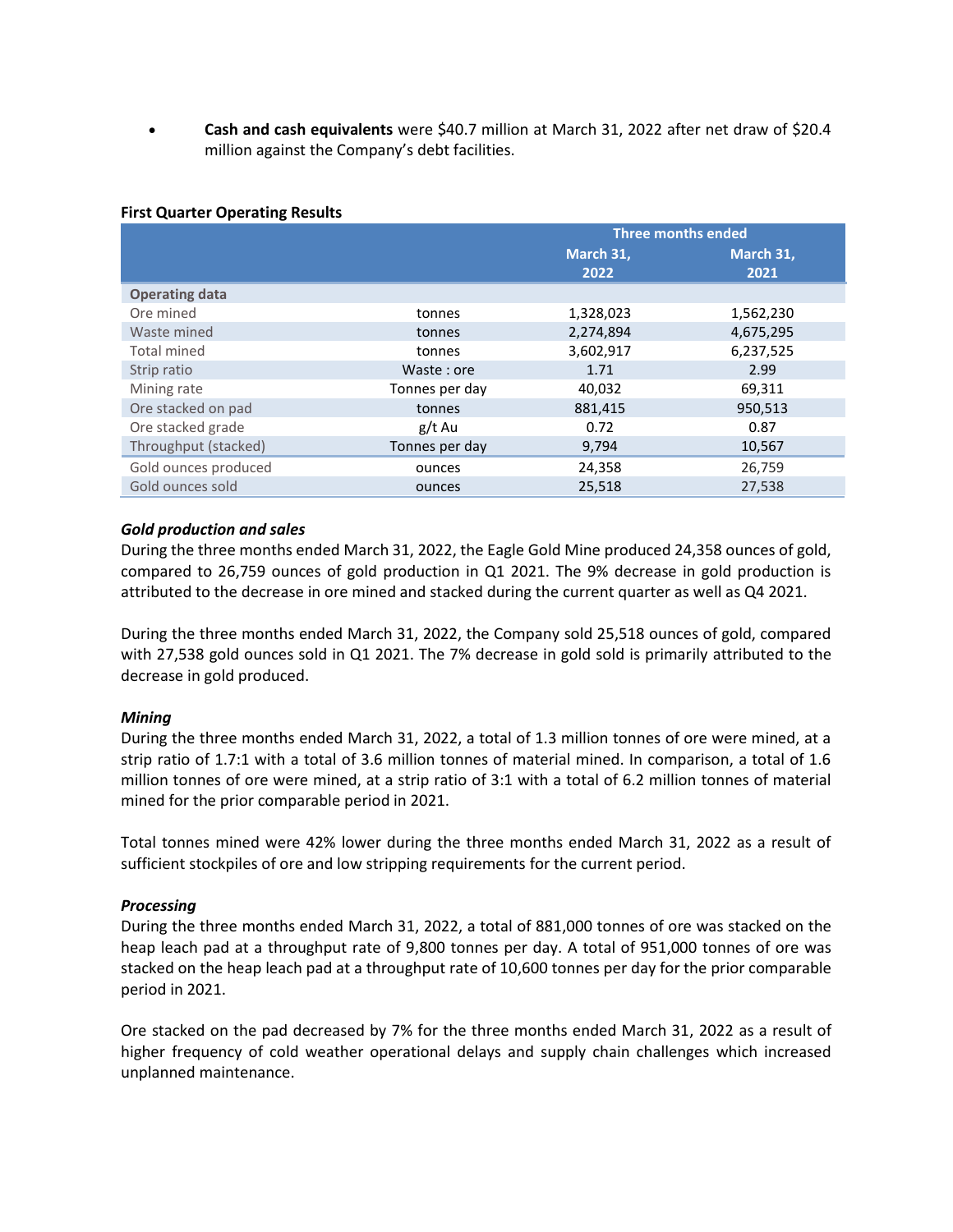• **Cash and cash equivalents** were \$40.7 million at March 31, 2022 after net draw of \$20.4 million against the Company's debt facilities.

#### **First Quarter Operating Results**

|                       |                | <b>Three months ended</b> |           |  |
|-----------------------|----------------|---------------------------|-----------|--|
|                       |                |                           | March 31, |  |
|                       |                | 2022                      | 2021      |  |
| <b>Operating data</b> |                |                           |           |  |
| Ore mined             | tonnes         | 1,328,023                 | 1,562,230 |  |
| Waste mined           | tonnes         | 2,274,894                 | 4,675,295 |  |
| <b>Total mined</b>    | tonnes         | 3,602,917                 | 6,237,525 |  |
| Strip ratio           | Waste: ore     | 1.71                      | 2.99      |  |
| Mining rate           | Tonnes per day | 40,032                    | 69,311    |  |
| Ore stacked on pad    | tonnes         | 881,415                   | 950,513   |  |
| Ore stacked grade     | g/t Au         | 0.72                      | 0.87      |  |
| Throughput (stacked)  | Tonnes per day | 9,794                     | 10,567    |  |
| Gold ounces produced  | ounces         | 24,358                    | 26,759    |  |
| Gold ounces sold      | ounces         | 25,518                    | 27,538    |  |

#### *Gold production and sales*

During the three months ended March 31, 2022, the Eagle Gold Mine produced 24,358 ounces of gold, compared to 26,759 ounces of gold production in Q1 2021. The 9% decrease in gold production is attributed to the decrease in ore mined and stacked during the current quarter as well as Q4 2021.

During the three months ended March 31, 2022, the Company sold 25,518 ounces of gold, compared with 27,538 gold ounces sold in Q1 2021. The 7% decrease in gold sold is primarily attributed to the decrease in gold produced.

#### *Mining*

During the three months ended March 31, 2022, a total of 1.3 million tonnes of ore were mined, at a strip ratio of 1.7:1 with a total of 3.6 million tonnes of material mined. In comparison, a total of 1.6 million tonnes of ore were mined, at a strip ratio of 3:1 with a total of 6.2 million tonnes of material mined for the prior comparable period in 2021.

Total tonnes mined were 42% lower during the three months ended March 31, 2022 as a result of sufficient stockpiles of ore and low stripping requirements for the current period.

#### *Processing*

During the three months ended March 31, 2022, a total of 881,000 tonnes of ore was stacked on the heap leach pad at a throughput rate of 9,800 tonnes per day. A total of 951,000 tonnes of ore was stacked on the heap leach pad at a throughput rate of 10,600 tonnes per day for the prior comparable period in 2021.

Ore stacked on the pad decreased by 7% for the three months ended March 31, 2022 as a result of higher frequency of cold weather operational delays and supply chain challenges which increased unplanned maintenance.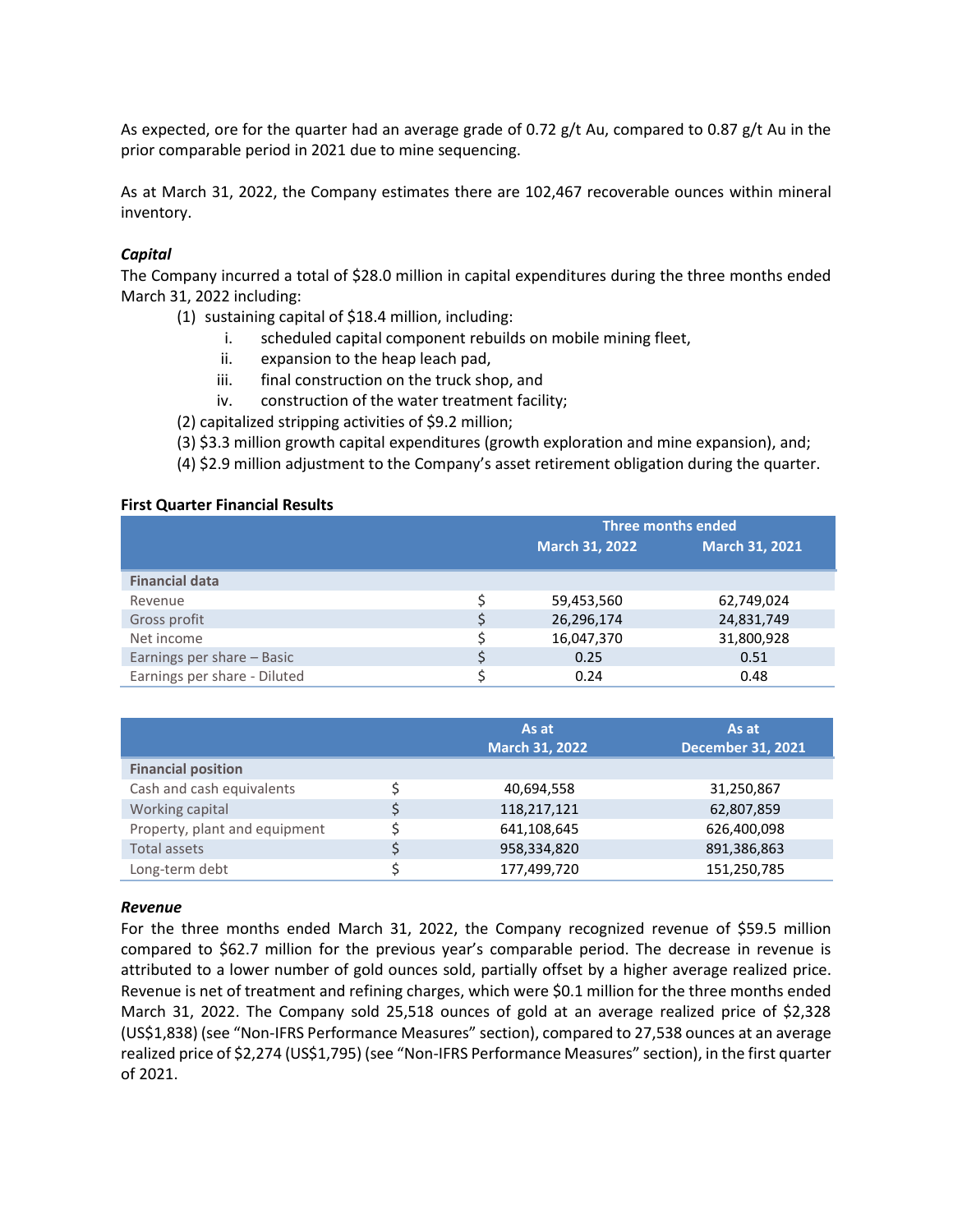As expected, ore for the quarter had an average grade of 0.72  $g/t$  Au, compared to 0.87  $g/t$  Au in the prior comparable period in 2021 due to mine sequencing.

As at March 31, 2022, the Company estimates there are 102,467 recoverable ounces within mineral inventory.

## *Capital*

The Company incurred a total of \$28.0 million in capital expenditures during the three months ended March 31, 2022 including:

- (1) sustaining capital of \$18.4 million, including:
	- i. scheduled capital component rebuilds on mobile mining fleet,
	- ii. expansion to the heap leach pad,
	- iii. final construction on the truck shop, and
	- iv. construction of the water treatment facility;
- (2) capitalized stripping activities of \$9.2 million;
- (3) \$3.3 million growth capital expenditures (growth exploration and mine expansion), and;
- (4) \$2.9 million adjustment to the Company's asset retirement obligation during the quarter.

#### **First Quarter Financial Results**

|                              | <b>Three months ended</b> |                |  |
|------------------------------|---------------------------|----------------|--|
|                              | <b>March 31, 2022</b>     | March 31, 2021 |  |
| <b>Financial data</b>        |                           |                |  |
| Revenue                      | 59,453,560                | 62,749,024     |  |
| Gross profit                 | 26,296,174                | 24,831,749     |  |
| Net income                   | 16,047,370                | 31,800,928     |  |
| Earnings per share - Basic   | 0.25                      | 0.51           |  |
| Earnings per share - Diluted | 0.24                      | 0.48           |  |

|                               | As at<br><b>March 31, 2022</b> | As at<br><b>December 31, 2021</b> |
|-------------------------------|--------------------------------|-----------------------------------|
| <b>Financial position</b>     |                                |                                   |
| Cash and cash equivalents     | 40,694,558                     | 31,250,867                        |
| Working capital               | 118,217,121                    | 62,807,859                        |
| Property, plant and equipment | 641,108,645                    | 626,400,098                       |
| <b>Total assets</b>           | 958,334,820                    | 891,386,863                       |
| Long-term debt                | 177,499,720                    | 151,250,785                       |

#### *Revenue*

For the three months ended March 31, 2022, the Company recognized revenue of \$59.5 million compared to \$62.7 million for the previous year's comparable period. The decrease in revenue is attributed to a lower number of gold ounces sold, partially offset by a higher average realized price. Revenue is net of treatment and refining charges, which were \$0.1 million for the three months ended March 31, 2022. The Company sold 25,518 ounces of gold at an average realized price of \$2,328 (US\$1,838) (see "Non-IFRS Performance Measures" section), compared to 27,538 ounces at an average realized price of \$2,274 (US\$1,795) (see "Non-IFRS Performance Measures" section), in the first quarter of 2021.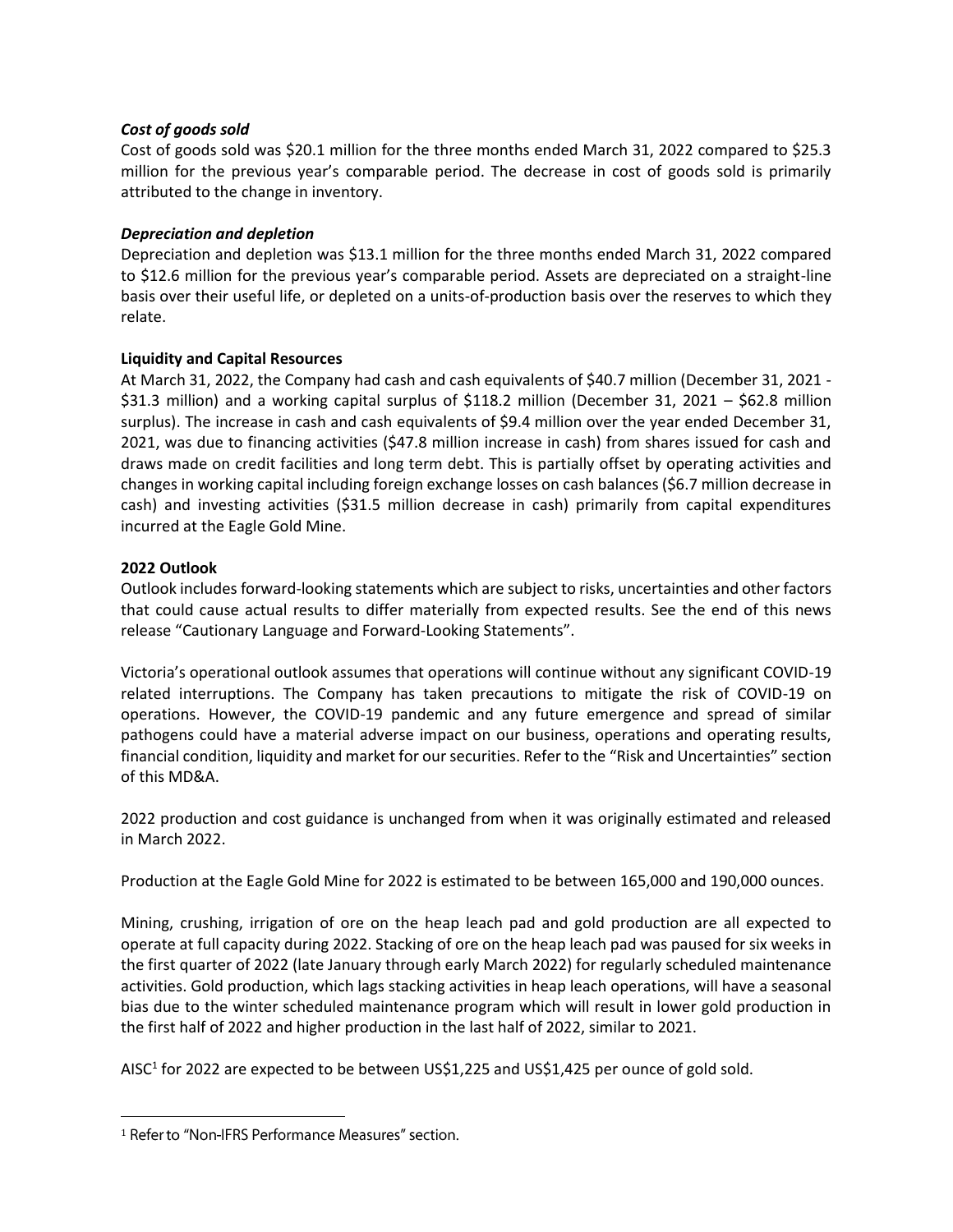## *Cost of goods sold*

Cost of goods sold was \$20.1 million for the three months ended March 31, 2022 compared to \$25.3 million for the previous year's comparable period. The decrease in cost of goods sold is primarily attributed to the change in inventory.

## *Depreciation and depletion*

Depreciation and depletion was \$13.1 million for the three months ended March 31, 2022 compared to \$12.6 million for the previous year's comparable period. Assets are depreciated on a straight-line basis over their useful life, or depleted on a units-of-production basis over the reserves to which they relate.

## **Liquidity and Capital Resources**

At March 31, 2022, the Company had cash and cash equivalents of \$40.7 million (December 31, 2021 - \$31.3 million) and a working capital surplus of \$118.2 million (December 31, 2021 – \$62.8 million surplus). The increase in cash and cash equivalents of \$9.4 million over the year ended December 31, 2021, was due to financing activities (\$47.8 million increase in cash) from shares issued for cash and draws made on credit facilities and long term debt. This is partially offset by operating activities and changes in working capital including foreign exchange losses on cash balances (\$6.7 million decrease in cash) and investing activities (\$31.5 million decrease in cash) primarily from capital expenditures incurred at the Eagle Gold Mine.

## **2022 Outlook**

Outlook includes forward-looking statements which are subject to risks, uncertainties and other factors that could cause actual results to differ materially from expected results. See the end of this news release "Cautionary Language and Forward-Looking Statements".

Victoria's operational outlook assumes that operations will continue without any significant COVID-19 related interruptions. The Company has taken precautions to mitigate the risk of COVID-19 on operations. However, the COVID-19 pandemic and any future emergence and spread of similar pathogens could have a material adverse impact on our business, operations and operating results, financial condition, liquidity and market for our securities. Refer to the "Risk and Uncertainties" section of this MD&A.

2022 production and cost guidance is unchanged from when it was originally estimated and released in March 2022.

Production at the Eagle Gold Mine for 2022 is estimated to be between 165,000 and 190,000 ounces.

Mining, crushing, irrigation of ore on the heap leach pad and gold production are all expected to operate at full capacity during 2022. Stacking of ore on the heap leach pad was paused for six weeks in the first quarter of 2022 (late January through early March 2022) for regularly scheduled maintenance activities. Gold production, which lags stacking activities in heap leach operations, will have a seasonal bias due to the winter scheduled maintenance program which will result in lower gold production in the first half of 2022 and higher production in the last half of 2022, similar to 2021.

AISC<sup>1</sup> for 2022 are expected to be between US\$1,225 and US\$1,425 per ounce of gold sold.

<sup>&</sup>lt;sup>1</sup> Refer to "Non-IFRS Performance Measures" section.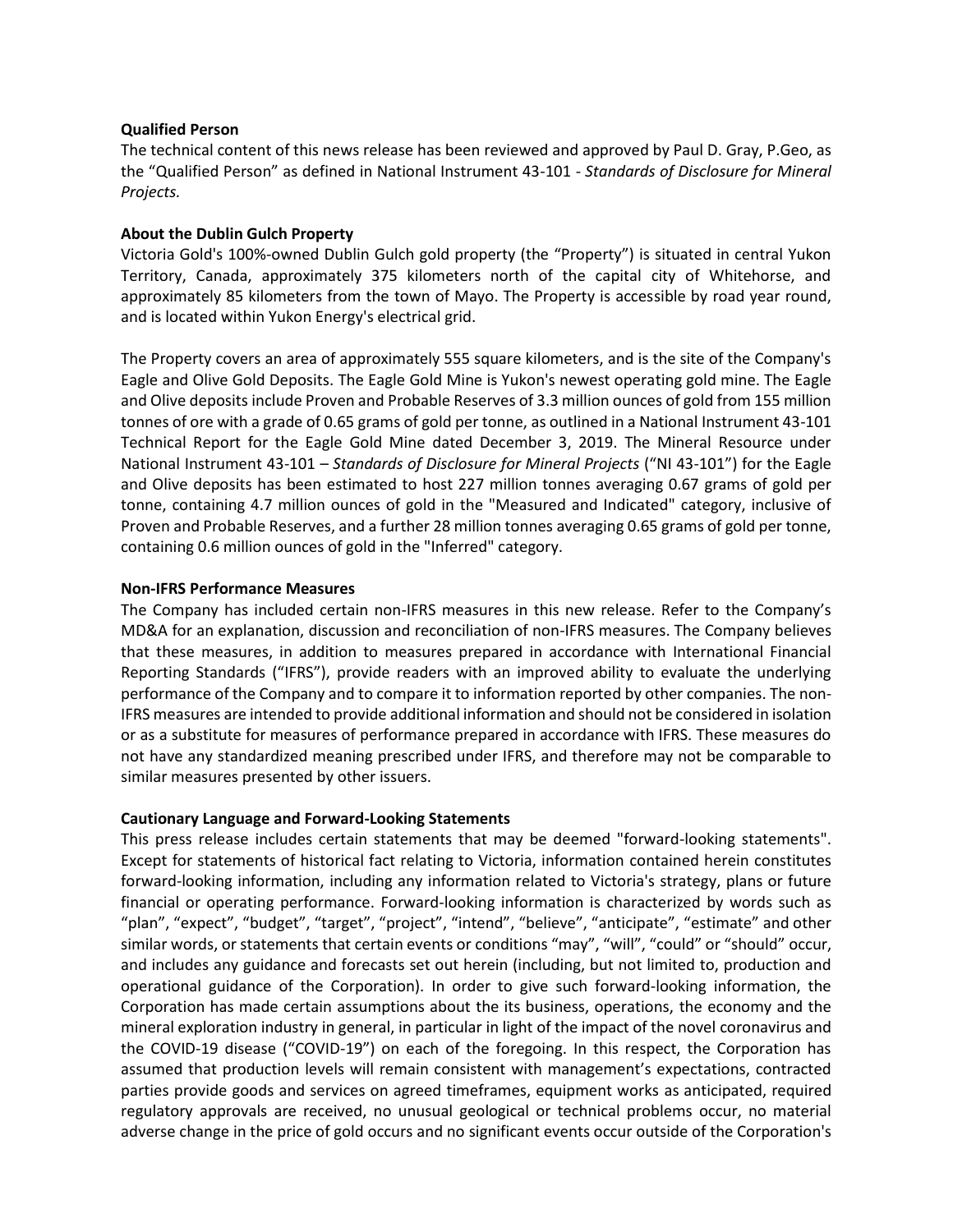#### **Qualified Person**

The technical content of this news release has been reviewed and approved by Paul D. Gray, P.Geo, as the "Qualified Person" as defined in National Instrument 43-101 - *Standards of Disclosure for Mineral Projects.*

## **About the Dublin Gulch Property**

Victoria Gold's 100%-owned Dublin Gulch gold property (the "Property") is situated in central Yukon Territory, Canada, approximately 375 kilometers north of the capital city of Whitehorse, and approximately 85 kilometers from the town of Mayo. The Property is accessible by road year round, and is located within Yukon Energy's electrical grid.

The Property covers an area of approximately 555 square kilometers, and is the site of the Company's Eagle and Olive Gold Deposits. The Eagle Gold Mine is Yukon's newest operating gold mine. The Eagle and Olive deposits include Proven and Probable Reserves of 3.3 million ounces of gold from 155 million tonnes of ore with a grade of 0.65 grams of gold per tonne, as outlined in a National Instrument 43-101 Technical Report for the Eagle Gold Mine dated December 3, 2019. The Mineral Resource under National Instrument 43-101 – *Standards of Disclosure for Mineral Projects* ("NI 43-101") for the Eagle and Olive deposits has been estimated to host 227 million tonnes averaging 0.67 grams of gold per tonne, containing 4.7 million ounces of gold in the "Measured and Indicated" category, inclusive of Proven and Probable Reserves, and a further 28 million tonnes averaging 0.65 grams of gold per tonne, containing 0.6 million ounces of gold in the "Inferred" category.

## **Non-IFRS Performance Measures**

The Company has included certain non-IFRS measures in this new release. Refer to the Company's MD&A for an explanation, discussion and reconciliation of non-IFRS measures. The Company believes that these measures, in addition to measures prepared in accordance with International Financial Reporting Standards ("IFRS"), provide readers with an improved ability to evaluate the underlying performance of the Company and to compare it to information reported by other companies. The non-IFRS measures are intended to provide additional information and should not be considered in isolation or as a substitute for measures of performance prepared in accordance with IFRS. These measures do not have any standardized meaning prescribed under IFRS, and therefore may not be comparable to similar measures presented by other issuers.

## **Cautionary Language and Forward-Looking Statements**

This press release includes certain statements that may be deemed "forward-looking statements". Except for statements of historical fact relating to Victoria, information contained herein constitutes forward-looking information, including any information related to Victoria's strategy, plans or future financial or operating performance. Forward-looking information is characterized by words such as "plan", "expect", "budget", "target", "project", "intend", "believe", "anticipate", "estimate" and other similar words, or statements that certain events or conditions "may", "will", "could" or "should" occur, and includes any guidance and forecasts set out herein (including, but not limited to, production and operational guidance of the Corporation). In order to give such forward-looking information, the Corporation has made certain assumptions about the its business, operations, the economy and the mineral exploration industry in general, in particular in light of the impact of the novel coronavirus and the COVID-19 disease ("COVID-19") on each of the foregoing. In this respect, the Corporation has assumed that production levels will remain consistent with management's expectations, contracted parties provide goods and services on agreed timeframes, equipment works as anticipated, required regulatory approvals are received, no unusual geological or technical problems occur, no material adverse change in the price of gold occurs and no significant events occur outside of the Corporation's